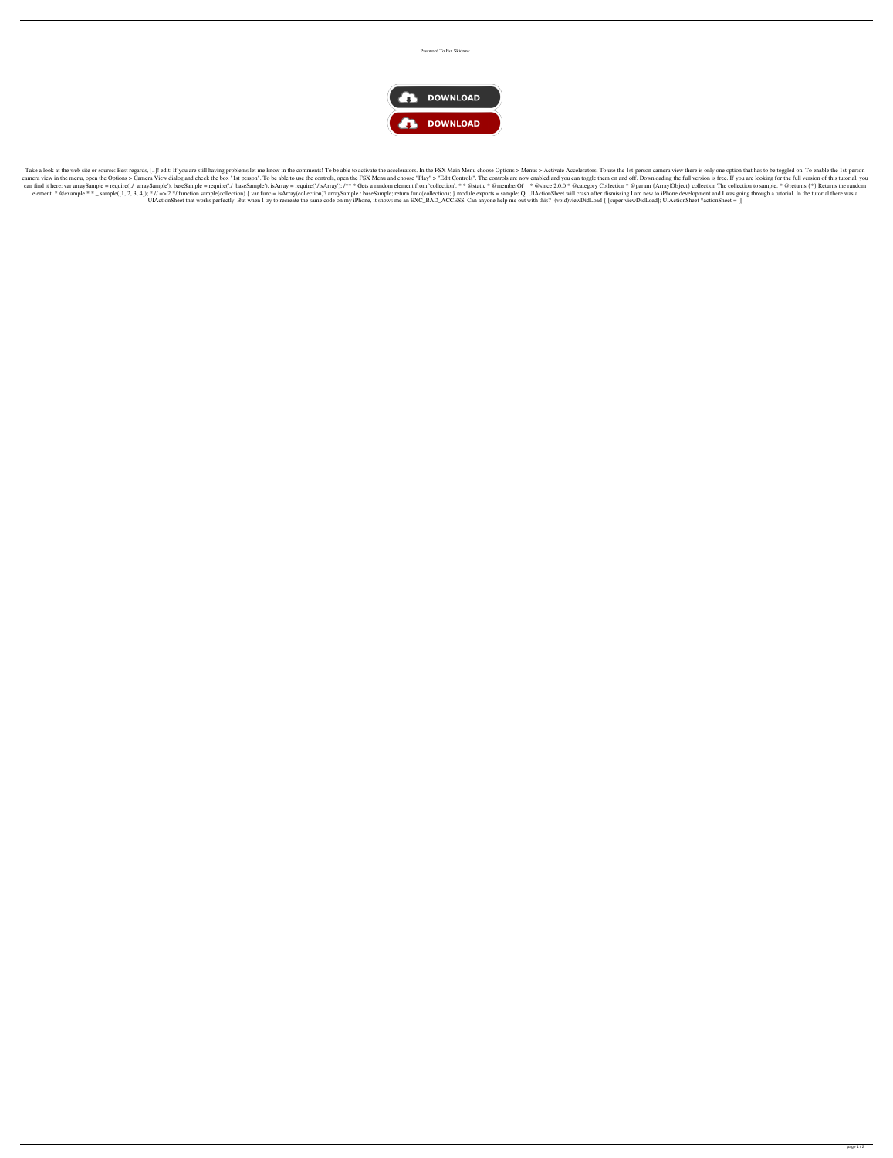

Password To Fsx Skidrow

Take a look at the web site or source: Best regards, [..]! edit: If you are still having problems let me know in the comments! To be able to activate the accelerators. In the FSX Main Menu choose Options > Menus > Activate camera view in the menu, open the Options > Camera View dialog and check the box "1st person". To be able to use the controls, open the FSX Menu and choose "Play" > "Edit Controls". The controls are now enabled and you can can find it here: var arraySample = require('./\_arraySample'), baseSample = require('./\_baseSample'), isArray = require('./\_baseSample'), isArray = require('./isArray'); /\*\* \* Gets a random element from `collection`. \* \* @ element. \* @example \* \* \_.sample([1, 2, 3, 4]); \* // => 2 \*/ function sample(collection) { var func = isArray(collection)? arraySample : baseSample; return func(collection); } module.exports = sample; Q: UIActionSheet will UIActionSheet that works perfectly. But when I try to recreate the same code on my iPhone, it shows me an EXC\_BAD\_ACCESS. Can anyone help me out with this? -(void)viewDidLoad { [super viewDidLoad]; UIActionSheet \*actionShe